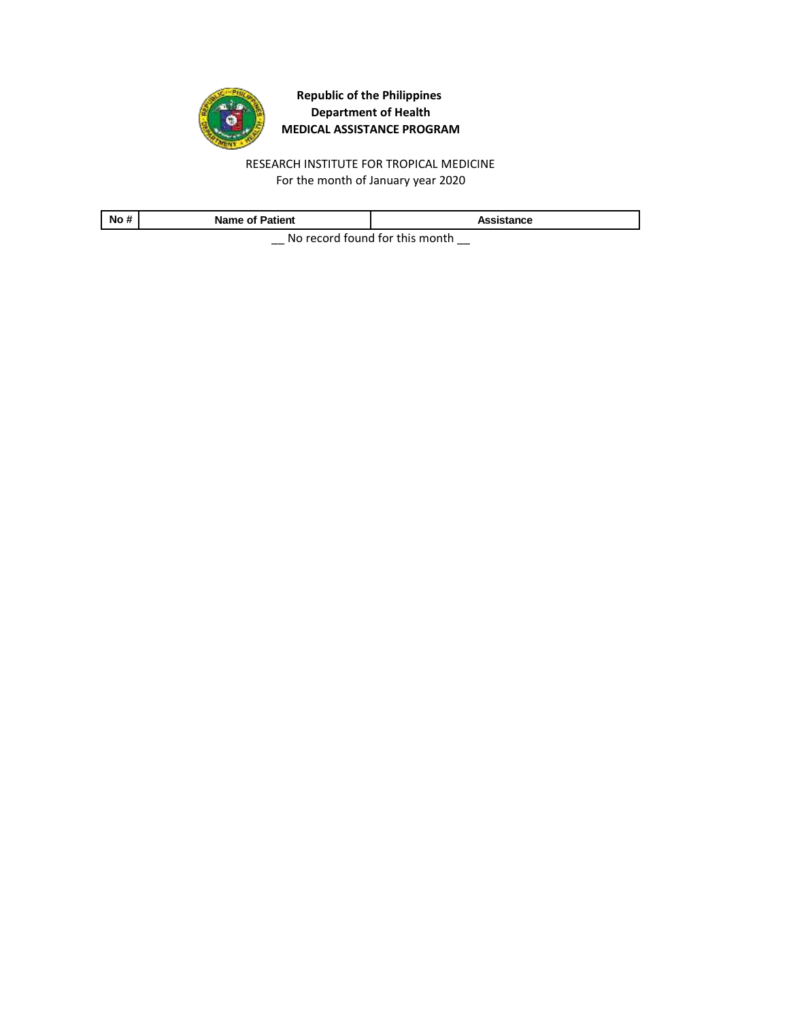

RESEARCH INSTITUTE FOR TROPICAL MEDICINE For the month of January year 2020

| No#                                                                                                                                                                                                                           | <b>Name of Patient</b> | Assistance |  |
|-------------------------------------------------------------------------------------------------------------------------------------------------------------------------------------------------------------------------------|------------------------|------------|--|
| . A figure or compatible consideration of the constant of the constant of the constant of the constant of the constant of the constant of the constant of the constant of the constant of the constant of the constant of the |                        |            |  |

\_\_ No record found for this month \_\_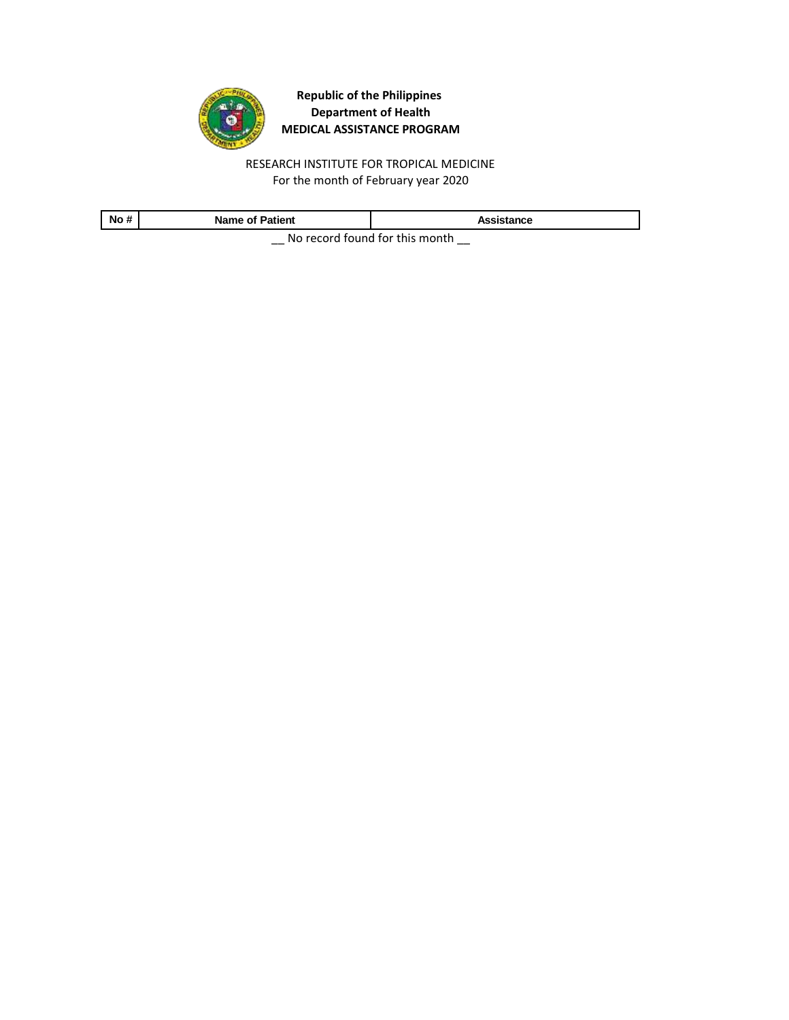

RESEARCH INSTITUTE FOR TROPICAL MEDICINE For the month of February year 2020

| <b>No</b><br>                          | <b>Name of Patient</b> | Assistance |  |
|----------------------------------------|------------------------|------------|--|
| Ale as south formed fourth-to-assembly |                        |            |  |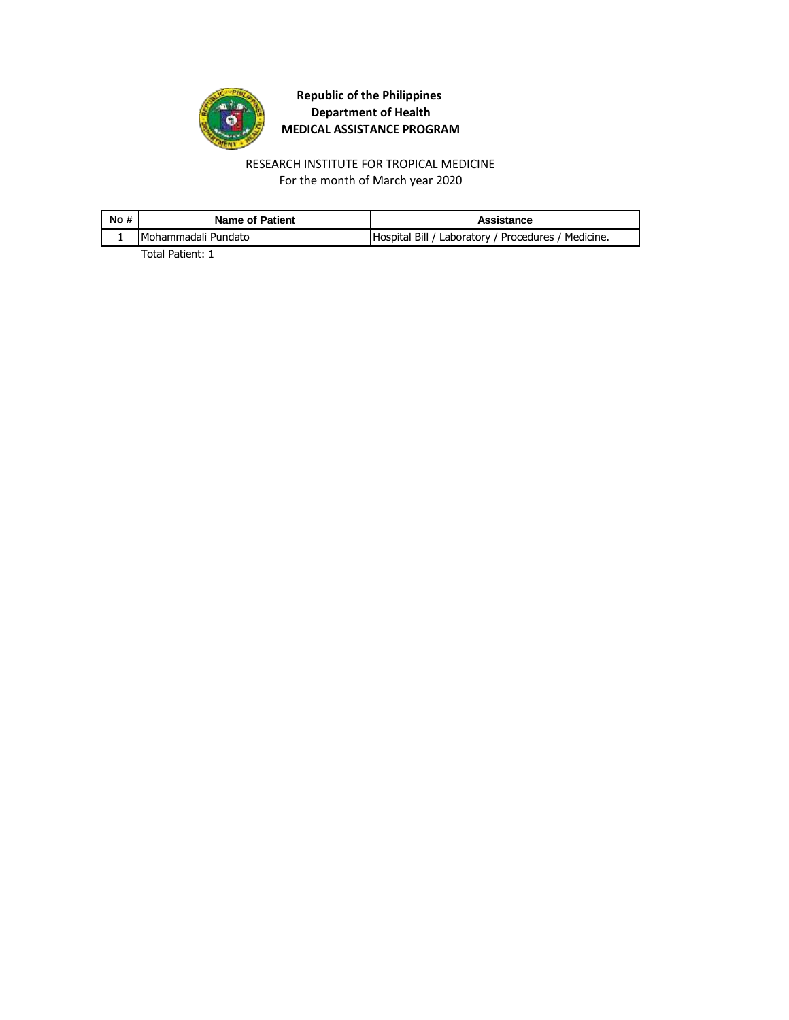

For the month of March year 2020 RESEARCH INSTITUTE FOR TROPICAL MEDICINE

| No# | <b>Name of Patient</b> | Assistance                                          |
|-----|------------------------|-----------------------------------------------------|
|     | Mohammadali Pundato    | Hospital Bill / Laboratory / Procedures / Medicine. |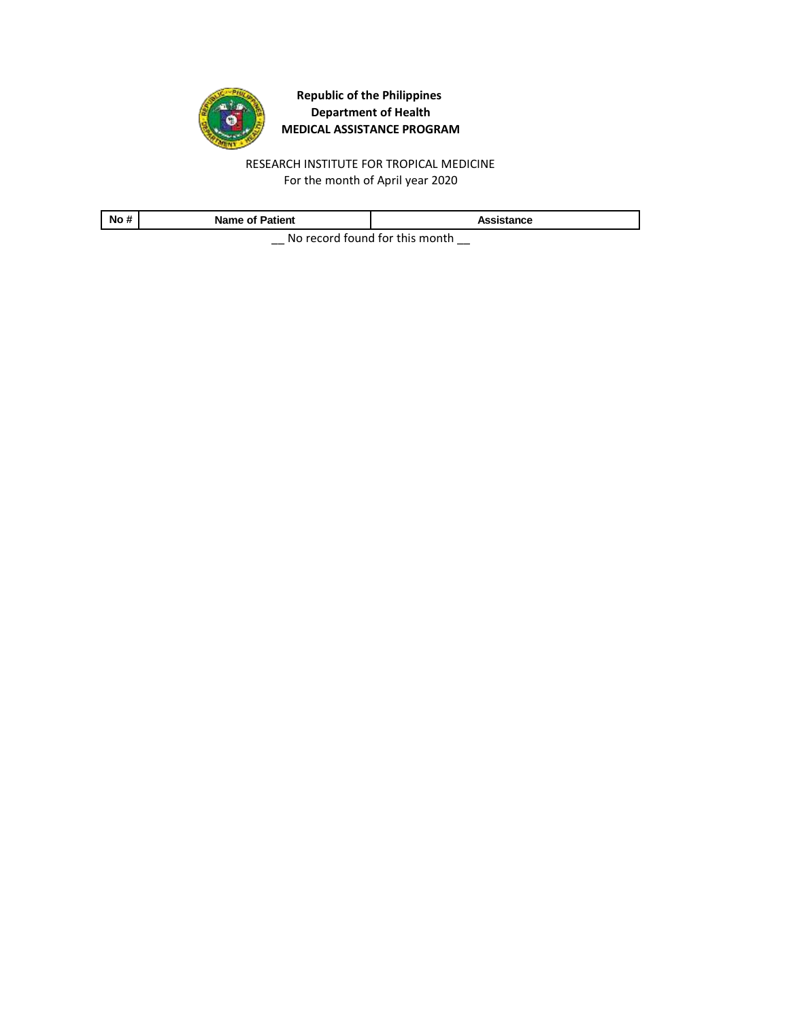

RESEARCH INSTITUTE FOR TROPICAL MEDICINE For the month of April year 2020

| No# | <b>Name of Patient</b>                                   | Assistance |  |
|-----|----------------------------------------------------------|------------|--|
|     | . Martin a consideration of the state of the second late |            |  |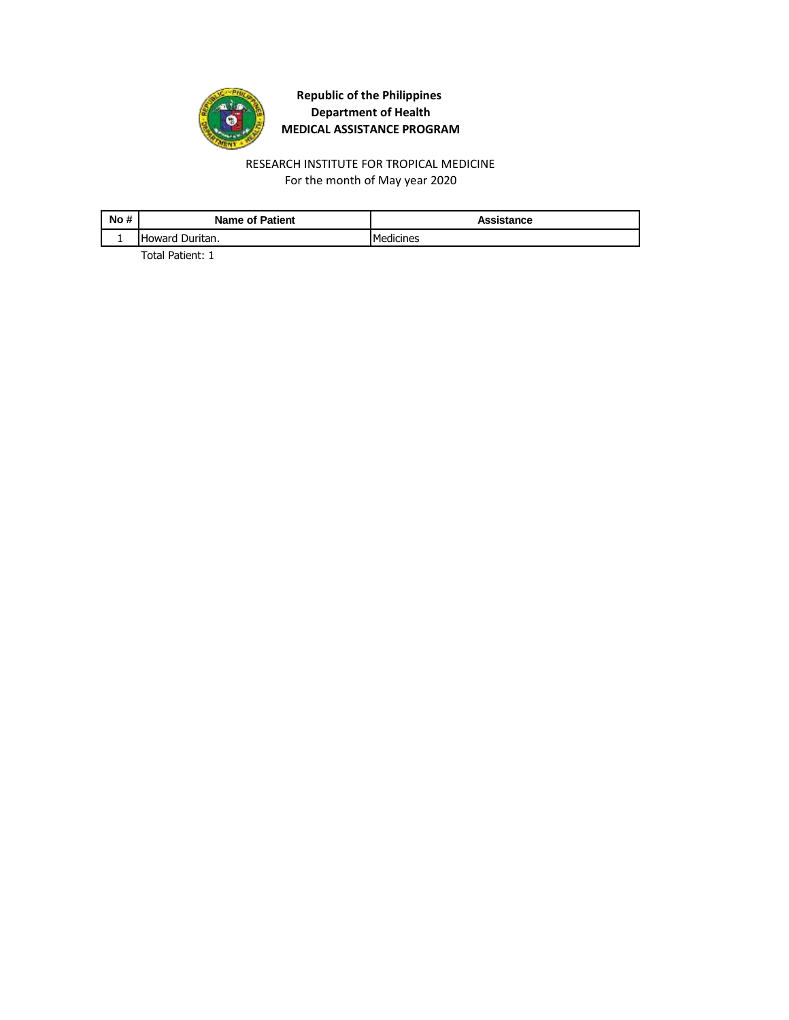

For the month of May year 2020 RESEARCH INSTITUTE FOR TROPICAL MEDICINE

| No# | <b>Name of Patient</b> | Assistance |
|-----|------------------------|------------|
|     | Howard Duritan.        | Medicines  |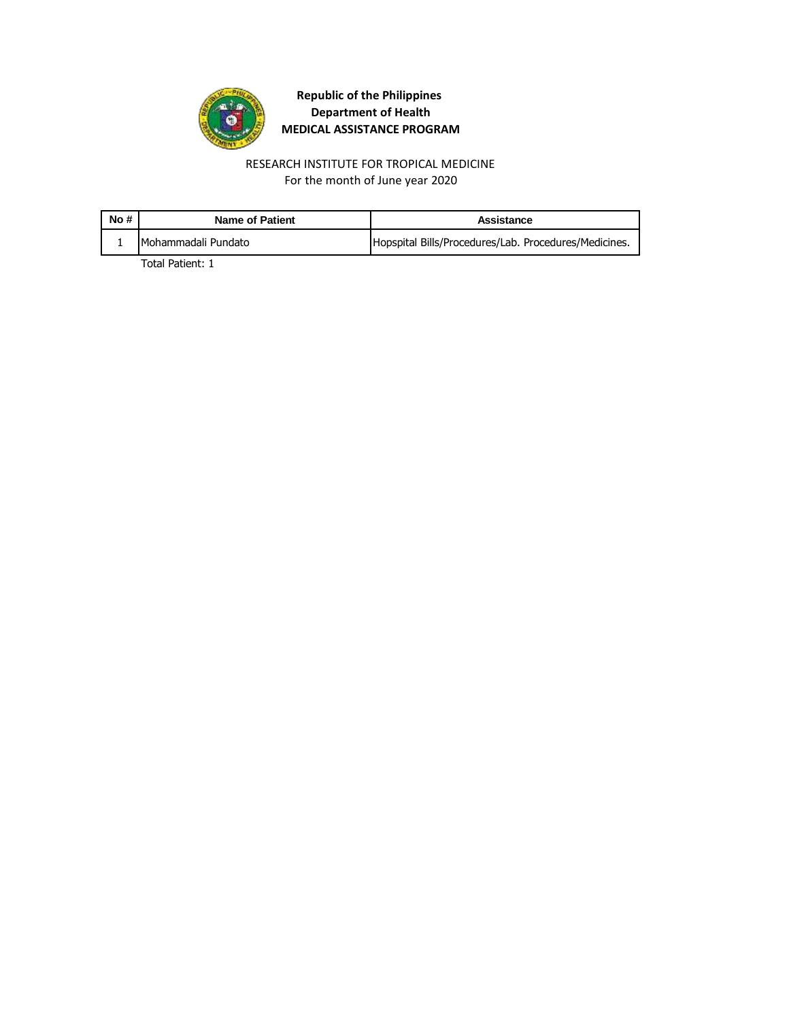

RESEARCH INSTITUTE FOR TROPICAL MEDICINE For the month of June year 2020

| No# | Name of Patient     | Assistance                                            |
|-----|---------------------|-------------------------------------------------------|
|     | Mohammadali Pundato | Hopspital Bills/Procedures/Lab. Procedures/Medicines. |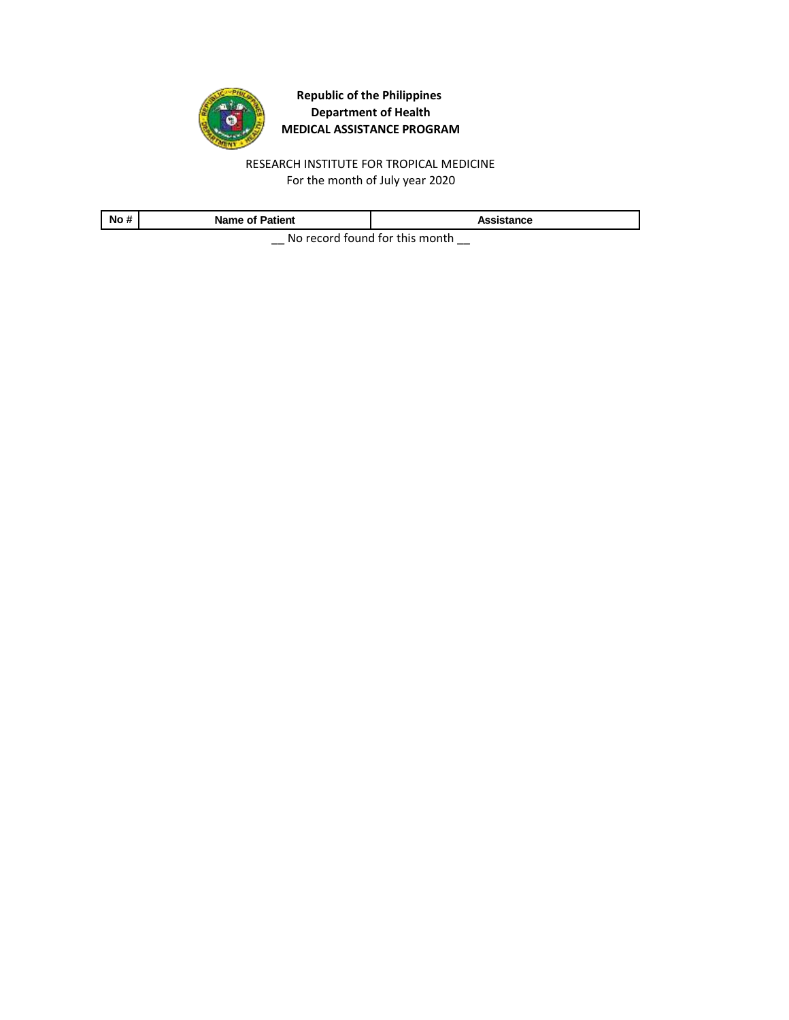

RESEARCH INSTITUTE FOR TROPICAL MEDICINE For the month of July year 2020

| No #                                 | <b>Name of Patient</b> | Assistance |
|--------------------------------------|------------------------|------------|
| Ale as south formed fourth to assume |                        |            |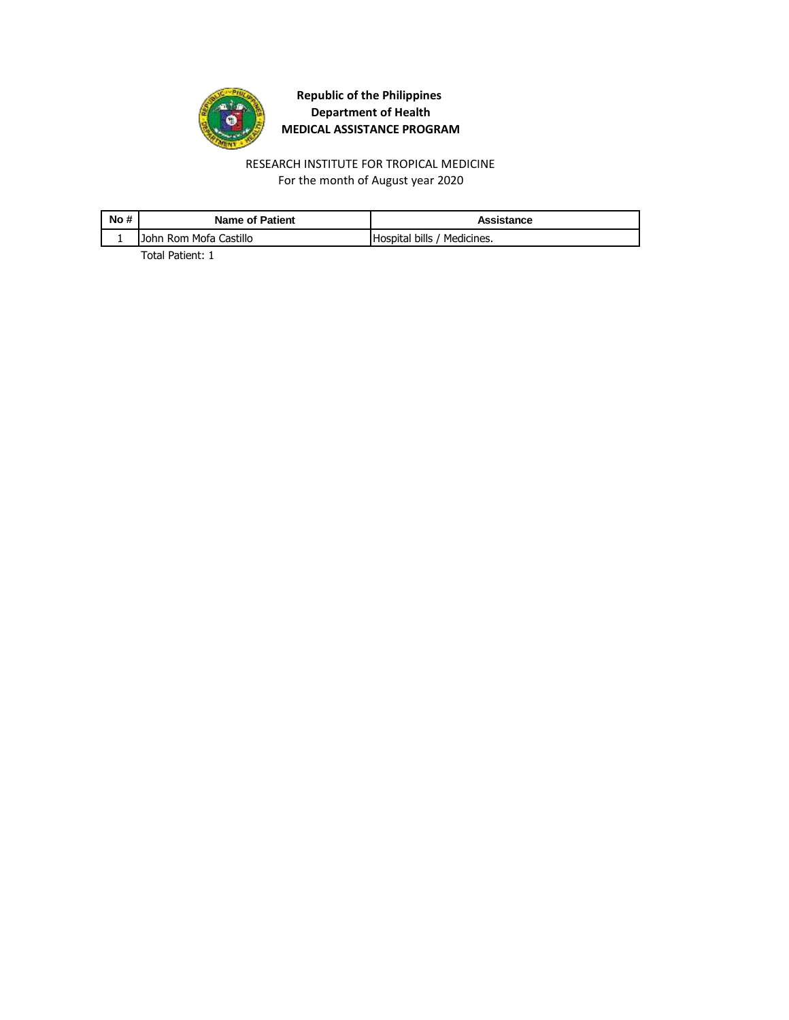

RESEARCH INSTITUTE FOR TROPICAL MEDICINE For the month of August year 2020

| John Rom Mofa Castillo<br>Hospital bills / Medicines. | No# | <b>Name of Patient</b> | Assistance |
|-------------------------------------------------------|-----|------------------------|------------|
|                                                       |     |                        |            |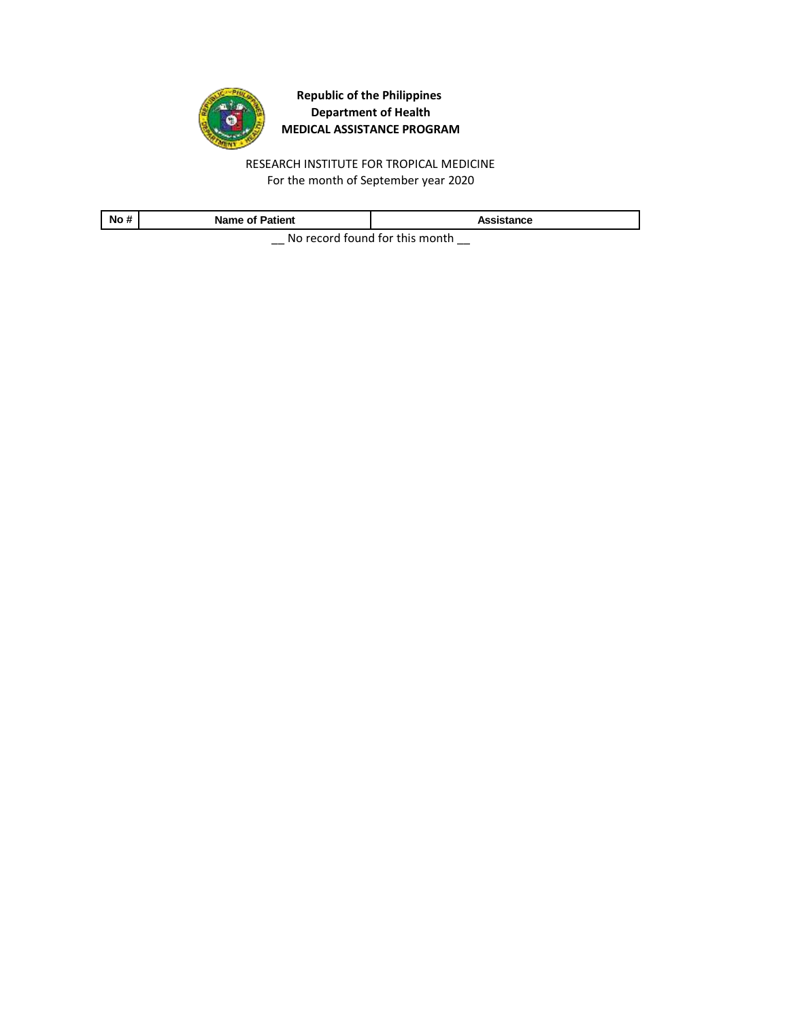

RESEARCH INSTITUTE FOR TROPICAL MEDICINE For the month of September year 2020

| No #                                        | <b>Name of Patient</b> | Assistance |  |
|---------------------------------------------|------------------------|------------|--|
| Alle a consideration of fourth to an outlet |                        |            |  |